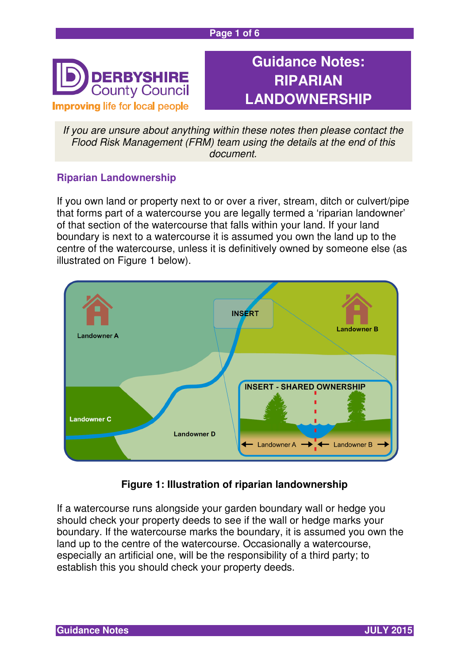#### **Page 1 of 6**



# **Guidance Notes: RIPARIAN LANDOWNERSHIP**

If you are unsure about anything within these notes then please contact the Flood Risk Management (FRM) team using the details at the end of this document.

## **Riparian Landownership**

If you own land or property next to or over a river, stream, ditch or culvert/pipe that forms part of a watercourse you are legally termed a 'riparian landowner' of that section of the watercourse that falls within your land. If your land boundary is next to a watercourse it is assumed you own the land up to the centre of the watercourse, unless it is definitively owned by someone else (as illustrated on Figure 1 below).



## **Figure 1: Illustration of riparian landownership**

If a watercourse runs alongside your garden boundary wall or hedge you should check your property deeds to see if the wall or hedge marks your boundary. If the watercourse marks the boundary, it is assumed you own the land up to the centre of the watercourse. Occasionally a watercourse, especially an artificial one, will be the responsibility of a third party; to establish this you should check your property deeds.

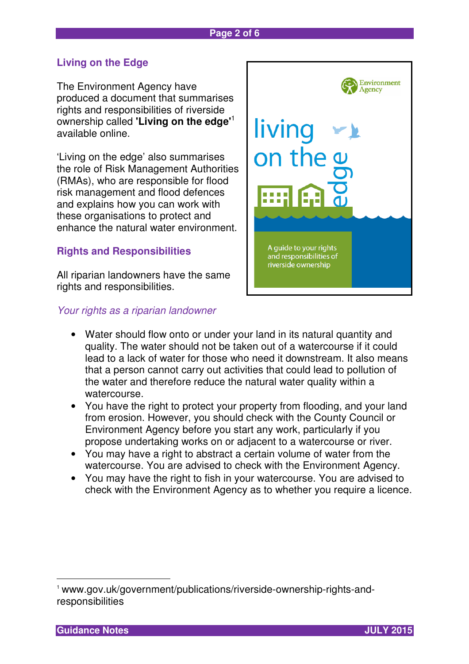## **Living on the Edge**

The Environment Agency have produced a document that summarises rights and responsibilities of riverside ownership called **'Living on the edge'**<sup>1</sup> available online.

'Living on the edge' also summarises the role of Risk Management Authorities (RMAs), who are responsible for flood risk management and flood defences and explains how you can work with these organisations to protect and enhance the natural water environment.

## **Rights and Responsibilities**

All riparian landowners have the same rights and responsibilities.

#### Your rights as a riparian landowner



- Water should flow onto or under your land in its natural quantity and quality. The water should not be taken out of a watercourse if it could lead to a lack of water for those who need it downstream. It also means that a person cannot carry out activities that could lead to pollution of the water and therefore reduce the natural water quality within a watercourse.
- You have the right to protect your property from flooding, and your land from erosion. However, you should check with the County Council or Environment Agency before you start any work, particularly if you propose undertaking works on or adjacent to a watercourse or river.
- You may have a right to abstract a certain volume of water from the watercourse. You are advised to check with the Environment Agency.
- You may have the right to fish in your watercourse. You are advised to check with the Environment Agency as to whether you require a licence.

 $\overline{a}$ 

<sup>1</sup> www.gov.uk/government/publications/riverside-ownership-rights-andresponsibilities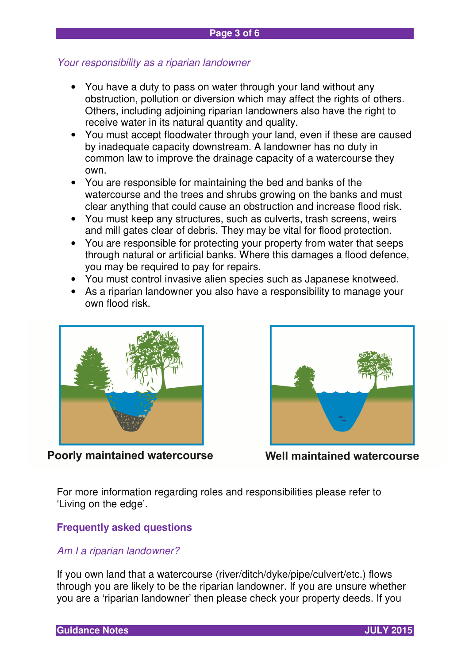## Your responsibility as a riparian landowner

- You have a duty to pass on water through your land without any obstruction, pollution or diversion which may affect the rights of others. Others, including adjoining riparian landowners also have the right to receive water in its natural quantity and quality.
- You must accept floodwater through your land, even if these are caused by inadequate capacity downstream. A landowner has no duty in common law to improve the drainage capacity of a watercourse they own.
- You are responsible for maintaining the bed and banks of the watercourse and the trees and shrubs growing on the banks and must clear anything that could cause an obstruction and increase flood risk.
- You must keep any structures, such as culverts, trash screens, weirs and mill gates clear of debris. They may be vital for flood protection.
- You are responsible for protecting your property from water that seeps through natural or artificial banks. Where this damages a flood defence, you may be required to pay for repairs.
- You must control invasive alien species such as Japanese knotweed.
- As a riparian landowner you also have a responsibility to manage your own flood risk.



**Poorly maintained watercourse** 



Well maintained watercourse

For more information regarding roles and responsibilities please refer to 'Living on the edge'.

## **Frequently asked questions**

## Am I a riparian landowner?

If you own land that a watercourse (river/ditch/dyke/pipe/culvert/etc.) flows through you are likely to be the riparian landowner. If you are unsure whether you are a 'riparian landowner' then please check your property deeds. If you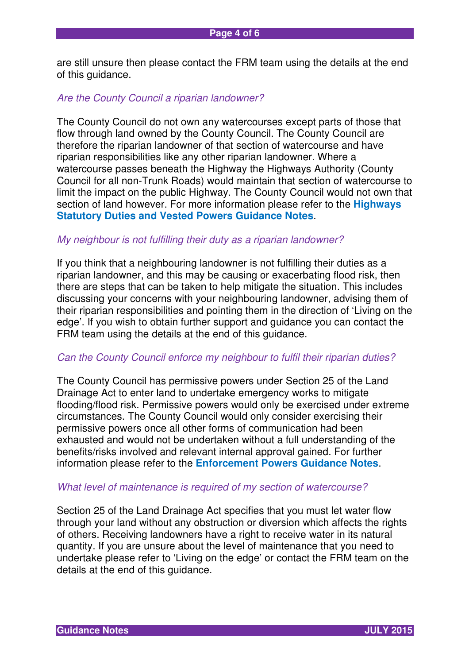are still unsure then please contact the FRM team using the details at the end of this guidance.

## Are the County Council a riparian landowner?

The County Council do not own any watercourses except parts of those that flow through land owned by the County Council. The County Council are therefore the riparian landowner of that section of watercourse and have riparian responsibilities like any other riparian landowner. Where a watercourse passes beneath the Highway the Highways Authority (County Council for all non-Trunk Roads) would maintain that section of watercourse to limit the impact on the public Highway. The County Council would not own that section of land however. For more information please refer to the **Highways Statutory Duties and Vested Powers Guidance Notes**.

#### My neighbour is not fulfilling their duty as a riparian landowner?

If you think that a neighbouring landowner is not fulfilling their duties as a riparian landowner, and this may be causing or exacerbating flood risk, then there are steps that can be taken to help mitigate the situation. This includes discussing your concerns with your neighbouring landowner, advising them of their riparian responsibilities and pointing them in the direction of 'Living on the edge'. If you wish to obtain further support and guidance you can contact the FRM team using the details at the end of this guidance.

#### Can the County Council enforce my neighbour to fulfil their riparian duties?

The County Council has permissive powers under Section 25 of the Land Drainage Act to enter land to undertake emergency works to mitigate flooding/flood risk. Permissive powers would only be exercised under extreme circumstances. The County Council would only consider exercising their permissive powers once all other forms of communication had been exhausted and would not be undertaken without a full understanding of the benefits/risks involved and relevant internal approval gained. For further information please refer to the **Enforcement Powers Guidance Notes**.

#### What level of maintenance is required of my section of watercourse?

Section 25 of the Land Drainage Act specifies that you must let water flow through your land without any obstruction or diversion which affects the rights of others. Receiving landowners have a right to receive water in its natural quantity. If you are unsure about the level of maintenance that you need to undertake please refer to 'Living on the edge' or contact the FRM team on the details at the end of this guidance.

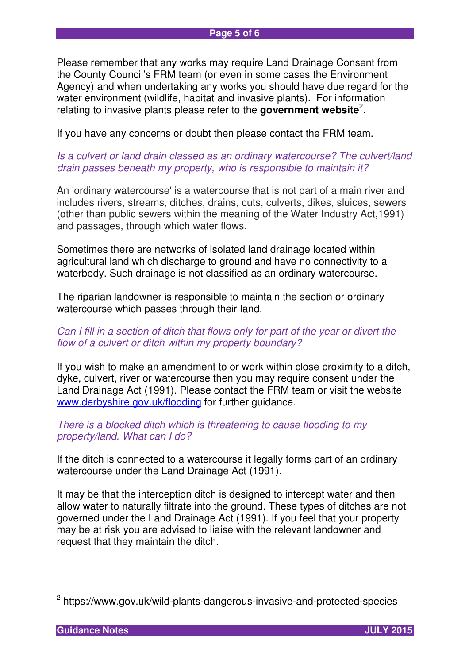Please remember that any works may require Land Drainage Consent from the County Council's FRM team (or even in some cases the Environment Agency) and when undertaking any works you should have due regard for the water environment (wildlife, habitat and invasive plants). For information relating to invasive plants please refer to the **government website**<sup>2</sup> .

If you have any concerns or doubt then please contact the FRM team.

#### Is a culvert or land drain classed as an ordinary watercourse? The culvert/land drain passes beneath my property, who is responsible to maintain it?

An 'ordinary watercourse' is a watercourse that is not part of a main river and includes rivers, streams, ditches, drains, cuts, culverts, dikes, sluices, sewers (other than public sewers within the meaning of the Water Industry Act,1991) and passages, through which water flows.

Sometimes there are networks of isolated land drainage located within agricultural land which discharge to ground and have no connectivity to a waterbody. Such drainage is not classified as an ordinary watercourse.

The riparian landowner is responsible to maintain the section or ordinary watercourse which passes through their land.

## Can I fill in a section of ditch that flows only for part of the year or divert the flow of a culvert or ditch within my property boundary?

If you wish to make an amendment to or work within close proximity to a ditch, dyke, culvert, river or watercourse then you may require consent under the Land Drainage Act (1991). Please contact the FRM team or visit the website www.derbyshire.gov.uk/flooding for further guidance.

#### There is a blocked ditch which is threatening to cause flooding to my property/land. What can I do?

If the ditch is connected to a watercourse it legally forms part of an ordinary watercourse under the Land Drainage Act (1991).

It may be that the interception ditch is designed to intercept water and then allow water to naturally filtrate into the ground. These types of ditches are not governed under the Land Drainage Act (1991). If you feel that your property may be at risk you are advised to liaise with the relevant landowner and request that they maintain the ditch.

 $\overline{\phantom{a}}$ 



<sup>&</sup>lt;sup>2</sup> https://www.gov.uk/wild-plants-dangerous-invasive-and-protected-species